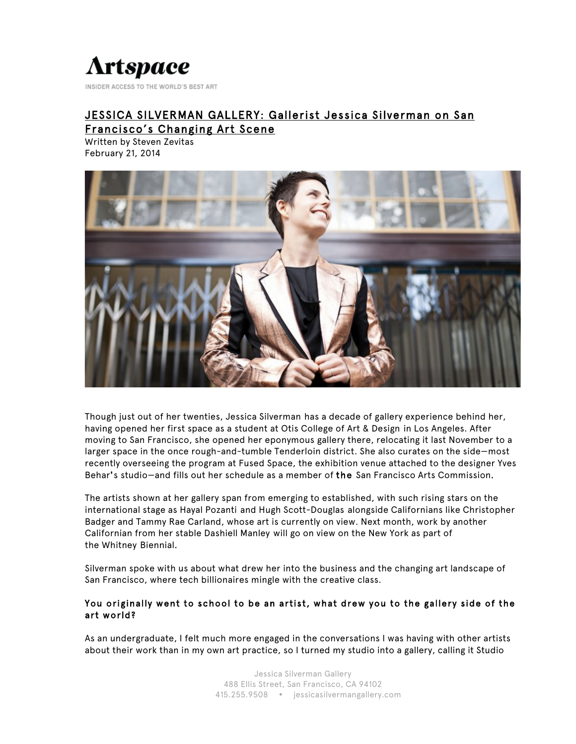# **Artspace**

INSIDER ACCESS TO THE WORLD'S BEST ART

# JESSICA SILVERMAN GALLERY: Gallerist Jessica Silverman on San Francisco's Changing Art Scene

Written by Steven Zevitas February 21, 2014



Though just out of her twenties, Jessica Silverman has a decade of gallery experience behind her, having opened her first space as a student at Otis College of Art & Design in Los Angeles. After moving to San Francisco, she opened her eponymous gallery there, relocating it last November to a larger space in the once rough-and-tumble Tenderloin district. She also curates on the side—most recently overseeing the program at Fused Space, the exhibition venue attached to the designer Yves Behar's studio—and fills out her schedule as a member of the San Francisco Arts Commission.

The artists shown at her gallery span from emerging to established, with such rising stars on the international stage as Hayal Pozanti and Hugh Scott-Douglas alongside Californians like Christopher Badger and Tammy Rae Carland, whose art is currently on view. Next month, work by another Californian from her stable Dashiell Manley will go on view on the New York as part of the Whitney Biennial.

Silverman spoke with us about what drew her into the business and the changing art landscape of San Francisco, where tech billionaires mingle with the creative class.

# You originally went to school to be an artist, what drew you to the gallery side of the art world?

As an undergraduate, I felt much more engaged in the conversations I was having with other artists about their work than in my own art practice, so I turned my studio into a gallery, calling it Studio